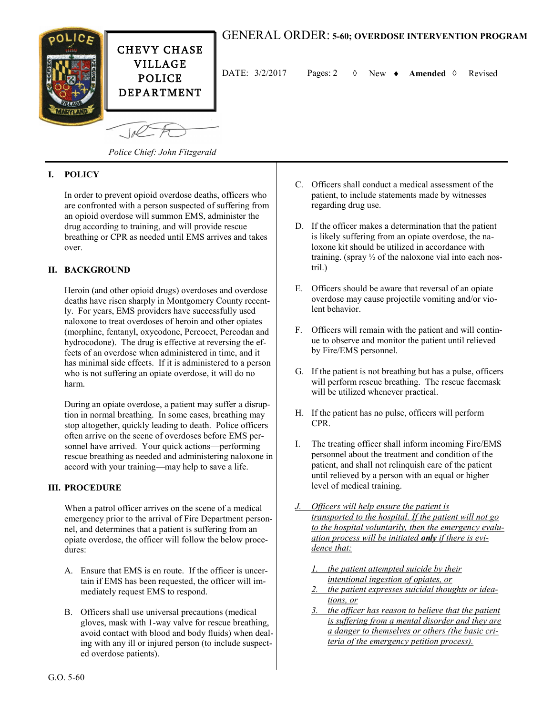

# GENERAL ORDER: **5-60; OVERDOSE INTERVENTION PROGRAM**

DATE:  $3/2/2017$  Pages: 2  $\Diamond$  New  $\bullet$  **Amended**  $\Diamond$  Revised

*Police Chief: John Fitzgerald*

### **I. POLICY**

In order to prevent opioid overdose deaths, officers who are confronted with a person suspected of suffering from an opioid overdose will summon EMS, administer the drug according to training, and will provide rescue breathing or CPR as needed until EMS arrives and takes over.

#### **II. BACKGROUND**

Heroin (and other opioid drugs) overdoses and overdose deaths have risen sharply in Montgomery County recently. For years, EMS providers have successfully used naloxone to treat overdoses of heroin and other opiates (morphine, fentanyl, oxycodone, Percocet, Percodan and hydrocodone). The drug is effective at reversing the effects of an overdose when administered in time, and it has minimal side effects. If it is administered to a person who is not suffering an opiate overdose, it will do no harm.

During an opiate overdose, a patient may suffer a disruption in normal breathing. In some cases, breathing may stop altogether, quickly leading to death. Police officers often arrive on the scene of overdoses before EMS personnel have arrived. Your quick actions—performing rescue breathing as needed and administering naloxone in accord with your training—may help to save a life.

#### **III. PROCEDURE**

When a patrol officer arrives on the scene of a medical emergency prior to the arrival of Fire Department personnel, and determines that a patient is suffering from an opiate overdose, the officer will follow the below procedures:

- A. Ensure that EMS is en route. If the officer is uncertain if EMS has been requested, the officer will immediately request EMS to respond.
- B. Officers shall use universal precautions (medical gloves, mask with 1-way valve for rescue breathing, avoid contact with blood and body fluids) when dealing with any ill or injured person (to include suspected overdose patients).
- C. Officers shall conduct a medical assessment of the patient, to include statements made by witnesses regarding drug use.
- D. If the officer makes a determination that the patient is likely suffering from an opiate overdose, the naloxone kit should be utilized in accordance with training. (spray  $\frac{1}{2}$  of the naloxone vial into each nostril.)
- E. Officers should be aware that reversal of an opiate overdose may cause projectile vomiting and/or violent behavior.
- F. Officers will remain with the patient and will continue to observe and monitor the patient until relieved by Fire/EMS personnel.
- G. If the patient is not breathing but has a pulse, officers will perform rescue breathing. The rescue facemask will be utilized whenever practical.
- H. If the patient has no pulse, officers will perform CPR.
- I. The treating officer shall inform incoming Fire/EMS personnel about the treatment and condition of the patient, and shall not relinquish care of the patient until relieved by a person with an equal or higher level of medical training.
- *J. Officers will help ensure the patient is transported to the hospital. If the patient will not go to the hospital voluntarily, then the emergency evaluation process will be initiated only if there is evidence that:*
	- *1. the patient attempted suicide by their intentional ingestion of opiates, or*
	- *2. the patient expresses suicidal thoughts or ideations, or*
	- *3. the officer has reason to believe that the patient is suffering from a mental disorder and they are a danger to themselves or others (the basic criteria of the emergency petition process).*